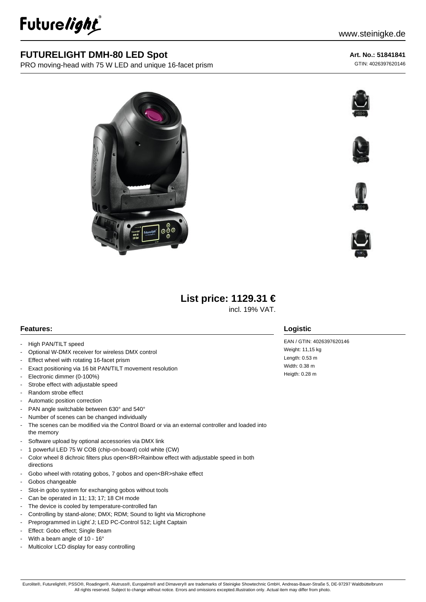

## **FUTURELIGHT DMH-80 LED Spot**

PRO moving-head with 75 W LED and unique 16-facet prism

#### **Art. No.: 51841841**

GTIN: 4026397620146











# **List price: 1129.31 €**

incl. 19% VAT.

#### **Features:**

- High PAN/TILT speed
- Optional W-DMX receiver for wireless DMX control
- Effect wheel with rotating 16-facet prism
- Exact positioning via 16 bit PAN/TILT movement resolution
- Electronic dimmer (0-100%)
- Strobe effect with adjustable speed
- Random strobe effect
- Automatic position correction
- PAN angle switchable between 630° and 540°
- Number of scenes can be changed individually
- The scenes can be modified via the Control Board or via an external controller and loaded into the memory
- Software upload by optional accessories via DMX link
- 1 powerful LED 75 W COB (chip-on-board) cold white (CW)
- Color wheel 8 dichroic filters plus open<BR>Rainbow effect with adjustable speed in both directions
- Gobo wheel with rotating gobos, 7 gobos and open<BR>shake effect
- Gobos changeable
- Slot-in gobo system for exchanging gobos without tools
- Can be operated in 11; 13; 17; 18 CH mode
- The device is cooled by temperature-controlled fan
- Controlling by stand-alone; DMX; RDM; Sound to light via Microphone
- Preprogrammed in Light'J; LED PC-Control 512; Light Captain
- Effect: Gobo effect; Single Beam
- With a beam angle of  $10 16^\circ$
- Multicolor LCD display for easy controlling

#### **Logistic**

EAN / GTIN: 4026397620146 Weight: 11,15 kg Length: 0.53 m Width: 0.38 m Heigth: 0.28 m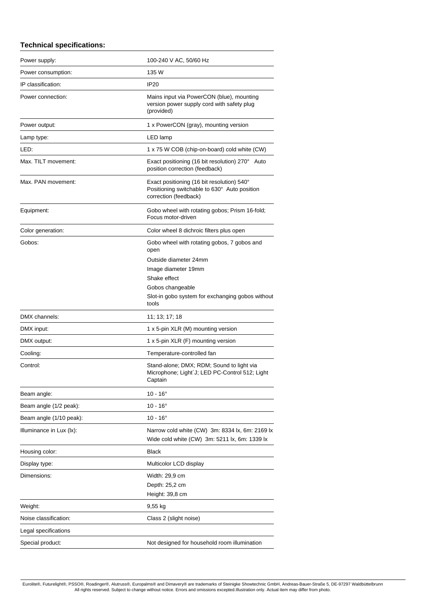### **Technical specifications:**

| Power supply:            | 100-240 V AC, 50/60 Hz                                                                                              |
|--------------------------|---------------------------------------------------------------------------------------------------------------------|
| Power consumption:       | 135 W                                                                                                               |
| IP classification:       | <b>IP20</b>                                                                                                         |
| Power connection:        | Mains input via PowerCON (blue), mounting<br>version power supply cord with safety plug<br>(provided)               |
| Power output:            | 1 x PowerCON (gray), mounting version                                                                               |
| Lamp type:               | LED lamp                                                                                                            |
| LED:                     | 1 x 75 W COB (chip-on-board) cold white (CW)                                                                        |
| Max. TILT movement:      | Exact positioning (16 bit resolution) 270° Auto<br>position correction (feedback)                                   |
| Max. PAN movement:       | Exact positioning (16 bit resolution) 540°<br>Positioning switchable to 630° Auto position<br>correction (feedback) |
| Equipment:               | Gobo wheel with rotating gobos; Prism 16-fold;<br>Focus motor-driven                                                |
| Color generation:        | Color wheel 8 dichroic filters plus open                                                                            |
| Gobos:                   | Gobo wheel with rotating gobos, 7 gobos and<br>open                                                                 |
|                          | Outside diameter 24mm                                                                                               |
|                          | Image diameter 19mm                                                                                                 |
|                          | Shake effect<br>Gobos changeable                                                                                    |
|                          | Slot-in gobo system for exchanging gobos without<br>tools                                                           |
| DMX channels:            | 11; 13; 17; 18                                                                                                      |
| DMX input:               | 1 x 5-pin XLR (M) mounting version                                                                                  |
| DMX output:              | 1 x 5-pin XLR (F) mounting version                                                                                  |
| Cooling:                 | Temperature-controlled fan                                                                                          |
| Control:                 | Stand-alone; DMX; RDM; Sound to light via<br>Microphone: Light'J: LED PC-Control 512: Light<br>Captain              |
| Beam angle:              | $10 - 16^{\circ}$                                                                                                   |
| Beam angle (1/2 peak):   | $10 - 16^{\circ}$                                                                                                   |
| Beam angle (1/10 peak):  | $10 - 16^{\circ}$                                                                                                   |
| Illuminance in Lux (lx): | Narrow cold white (CW) 3m: 8334 lx, 6m: 2169 lx<br>Wide cold white (CW) 3m: 5211 lx, 6m: 1339 lx                    |
| Housing color:           | <b>Black</b>                                                                                                        |
| Display type:            | Multicolor LCD display                                                                                              |
| Dimensions:              | Width: 29,9 cm                                                                                                      |
|                          | Depth: 25,2 cm                                                                                                      |
|                          | Height: 39,8 cm                                                                                                     |
| Weight:                  | 9,55 kg                                                                                                             |
| Noise classification:    | Class 2 (slight noise)                                                                                              |
| Legal specifications     |                                                                                                                     |
| Special product:         | Not designed for household room illumination                                                                        |